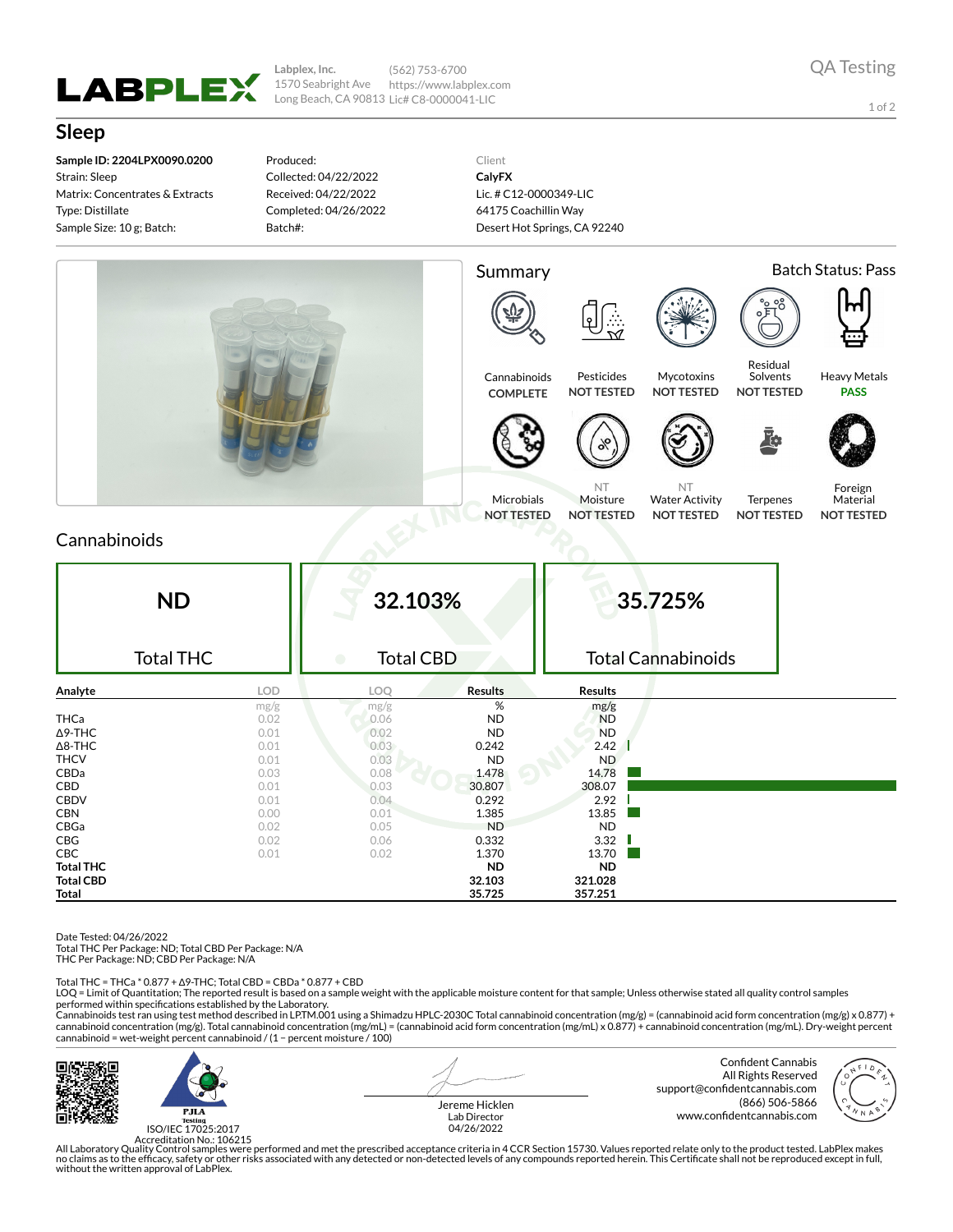

**Labplex, Inc.** 1570 Seabright Ave Long Beach, CA 90813 Lic# C8-0000041-LIC (562) 753-6700 https://www.labplex.com

1 of 2

## **Sleep**

**Sample ID: 2204LPX0090.0200** Strain: Sleep Matrix: Concentrates & Extracts Type: Distillate Sample Size: 10 g; Batch:

Produced: Collected: 04/22/2022 Received: 04/22/2022 Completed: 04/26/2022 Batch#:

Client **CalyFX** Lic. # C12-0000349-LIC 64175 Coachillin Way Desert Hot Springs, CA 92240



## Cannabinoids

| <b>ND</b>        |            | 32.103%                       |                | 35.725%                   |  |  |
|------------------|------------|-------------------------------|----------------|---------------------------|--|--|
| <b>Total THC</b> |            | <b>Total CBD</b><br>$\bullet$ |                | <b>Total Cannabinoids</b> |  |  |
| Analyte          | <b>LOD</b> | LOQ                           | <b>Results</b> | <b>Results</b>            |  |  |
|                  | mg/g       | mg/g                          | %              | mg/g                      |  |  |
| <b>THCa</b>      | 0.02       | 0.06                          | <b>ND</b>      | <b>ND</b>                 |  |  |
| $\Delta$ 9-THC   | 0.01       | 0.02                          | <b>ND</b>      | <b>ND</b>                 |  |  |
| $\Delta$ 8-THC   | 0.01       | 0.03                          | 0.242          | 2.42                      |  |  |
| <b>THCV</b>      | 0.01       | 0.03                          | <b>ND</b>      | ND                        |  |  |
| CBDa             | 0.03       | 0.08                          | 1.478          | 14.78                     |  |  |
| CBD              | 0.01       | 0.03                          | 30.807         | 308.07                    |  |  |
| <b>CBDV</b>      | 0.01       | 0.04                          | 0.292          | 2.92                      |  |  |
| <b>CBN</b>       | 0.00       | 0.01                          | 1.385          | 13.85                     |  |  |
| CBGa             | 0.02       | 0.05                          | <b>ND</b>      | <b>ND</b>                 |  |  |
| CBG              | 0.02       | 0.06                          | 0.332          | 3.32                      |  |  |
| <b>CBC</b>       | 0.01       | 0.02                          | 1.370          | 13.70                     |  |  |
| <b>Total THC</b> |            |                               | <b>ND</b>      | <b>ND</b>                 |  |  |
| <b>Total CBD</b> |            |                               | 32.103         | 321.028                   |  |  |
| <b>Total</b>     |            |                               | 35.725         | 357.251                   |  |  |

Date Tested: 04/26/2022

Total THC Per Package: ND; Total CBD Per Package: N/A

THC Per Package: ND; CBD Per Package: N/A

Total THC = THCa \* 0.877 + ∆9-THC; Total CBD = CBDa \* 0.877 + CBD

LOQ = Limit of Quantitation; The reported result is based on a sample weight with the applicable moisture content for that sample; Unless otherwise stated all quality control samples performed within specifications established by the Laboratory.

Cannabinoids test ran using test method described in LP.TM.001 using a Shimadzu HPLC-2030C Total cannabinoid concentration (mg/g) = (cannabinoid acid form concentration (mg/g) x 0.877) +<br>cannabinoid concentration (mg/g). T cannabinoid = wet-weight percent cannabinoid / (1 − percent moisture / 100)



ISO/IEC 17025:2017

Jereme Hicklen Lab Director 04/26/2022

Confident Cannabis All Rights Reserved support@confidentcannabis.com (866) 506-5866 www.confidentcannabis.com



Accreditation No.: 106215<br>All Laboratory Quality Control samples were performed and met the prescribed acceptance criteria in 4 CCR Section 15730. Values reported relate only to the product tested. LabPlex makes<br>Ino claims without the written approval of LabPlex.